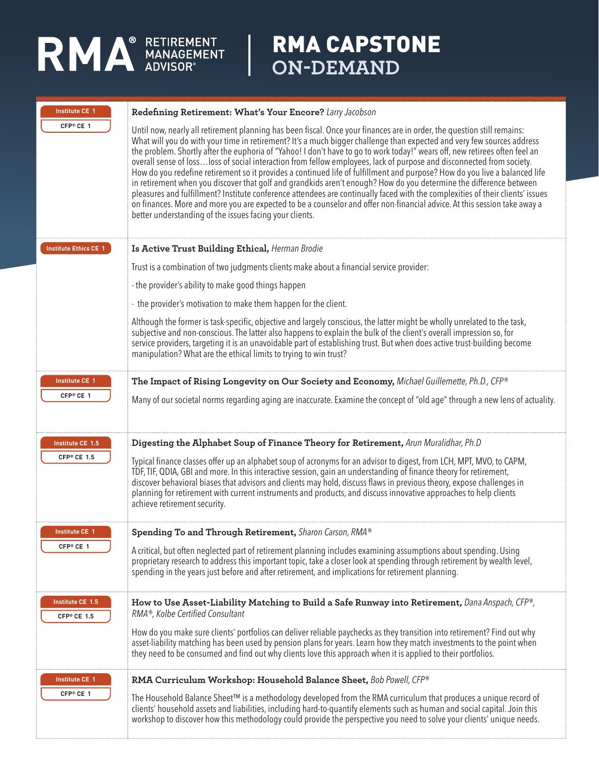

## RMA CAPSTONE **ON-DEMAND**

| <b>Institute CE 1</b>        | Redefining Retirement: What's Your Encore? Larry Jacobson                                                                                                                                                                                                                                                                                                                                                                                                                                                                                                                                                                                                                                                                                                                                                                                                                                                                                                                                                                                                                               |
|------------------------------|-----------------------------------------------------------------------------------------------------------------------------------------------------------------------------------------------------------------------------------------------------------------------------------------------------------------------------------------------------------------------------------------------------------------------------------------------------------------------------------------------------------------------------------------------------------------------------------------------------------------------------------------------------------------------------------------------------------------------------------------------------------------------------------------------------------------------------------------------------------------------------------------------------------------------------------------------------------------------------------------------------------------------------------------------------------------------------------------|
| CFP <sup>®</sup> CE 1        | Until now, nearly all retirement planning has been fiscal. Once your finances are in order, the question still remains:<br>What will you do with your time in retirement? It's a much bigger challenge than expected and very few sources address<br>the problem. Shortly after the euphoria of "Yahoo! I don't have to go to work today!" wears off, new retirees often feel an<br>overall sense of lossloss of social interaction from fellow employees, lack of purpose and disconnected from society.<br>How do you redefine retirement so it provides a continued life of fulfillment and purpose? How do you live a balanced life<br>in retirement when you discover that golf and grandkids aren't enough? How do you determine the difference between<br>pleasures and fulfillment? Institute conference attendees are continually faced with the complexities of their clients' issues<br>on finances. More and more you are expected to be a counselor and offer non-financial advice. At this session take away a<br>better understanding of the issues facing your clients. |
| <b>Institute Ethics CE 1</b> | Is Active Trust Building Ethical, Herman Brodie                                                                                                                                                                                                                                                                                                                                                                                                                                                                                                                                                                                                                                                                                                                                                                                                                                                                                                                                                                                                                                         |
|                              | Trust is a combination of two judgments clients make about a financial service provider:                                                                                                                                                                                                                                                                                                                                                                                                                                                                                                                                                                                                                                                                                                                                                                                                                                                                                                                                                                                                |
|                              | - the provider's ability to make good things happen                                                                                                                                                                                                                                                                                                                                                                                                                                                                                                                                                                                                                                                                                                                                                                                                                                                                                                                                                                                                                                     |
|                              | - the provider's motivation to make them happen for the client.                                                                                                                                                                                                                                                                                                                                                                                                                                                                                                                                                                                                                                                                                                                                                                                                                                                                                                                                                                                                                         |
|                              | Although the former is task-specific, objective and largely conscious, the latter might be wholly unrelated to the task,<br>subjective and non-conscious. The latter also happens to explain the bulk of the client's overall impression so, for<br>service providers, targeting it is an unavoidable part of establishing trust. But when does active trust-building become<br>manipulation? What are the ethical limits to trying to win trust?                                                                                                                                                                                                                                                                                                                                                                                                                                                                                                                                                                                                                                       |
| <b>Institute CE 1</b>        | The Impact of Rising Longevity on Our Society and Economy, Michael Guillemette, Ph.D., CFP®                                                                                                                                                                                                                                                                                                                                                                                                                                                                                                                                                                                                                                                                                                                                                                                                                                                                                                                                                                                             |
| CFP® CE 1                    | Many of our societal norms regarding aging are inaccurate. Examine the concept of "old age" through a new lens of actuality.                                                                                                                                                                                                                                                                                                                                                                                                                                                                                                                                                                                                                                                                                                                                                                                                                                                                                                                                                            |
| Institute CE 1.5             | Digesting the Alphabet Soup of Finance Theory for Retirement, Arun Muralidhar, Ph.D                                                                                                                                                                                                                                                                                                                                                                                                                                                                                                                                                                                                                                                                                                                                                                                                                                                                                                                                                                                                     |
| CFP® CE 1.5                  | Typical finance classes offer up an alphabet soup of acronyms for an advisor to digest, from LCH, MPT, MVO, to CAPM,<br>TDF, TIF, QDIA, GBI and more. In this interactive session, gain an understanding of finance theory for retirement,<br>discover behavioral biases that advisors and clients may hold, discuss flaws in previous theory, expose challenges in<br>planning for retirement with current instruments and products, and discuss innovative approaches to help clients<br>achieve retirement security.                                                                                                                                                                                                                                                                                                                                                                                                                                                                                                                                                                 |
| <b>Institute CE 1</b>        | Spending To and Through Retirement, Sharon Carson, RMA®                                                                                                                                                                                                                                                                                                                                                                                                                                                                                                                                                                                                                                                                                                                                                                                                                                                                                                                                                                                                                                 |
| CFP® CE 1                    | A critical, but often neglected part of retirement planning includes examining assumptions about spending. Using<br>proprietary research to address this important topic, take a closer look at spending through retirement by wealth level,<br>spending in the years just before and after retirement, and implications for retirement planning.                                                                                                                                                                                                                                                                                                                                                                                                                                                                                                                                                                                                                                                                                                                                       |
| Institute CE 1.5             | How to Use Asset-Liability Matching to Build a Safe Runway into Retirement, Dana Anspach, CFP®,<br>RMA®, Kolbe Certified Consultant                                                                                                                                                                                                                                                                                                                                                                                                                                                                                                                                                                                                                                                                                                                                                                                                                                                                                                                                                     |
| CFP® CE 1.5                  | How do you make sure clients' portfolios can deliver reliable paychecks as they transition into retirement? Find out why<br>asset-liability matching has been used by pension plans for years. Learn how they match investments to the point when<br>they need to be consumed and find out why clients love this approach when it is applied to their portfolios.                                                                                                                                                                                                                                                                                                                                                                                                                                                                                                                                                                                                                                                                                                                       |
| <b>Institute CE 1</b>        | RMA Curriculum Workshop: Household Balance Sheet, Bob Powell, CFP®                                                                                                                                                                                                                                                                                                                                                                                                                                                                                                                                                                                                                                                                                                                                                                                                                                                                                                                                                                                                                      |
| CFP® CE 1                    | The Household Balance Sheet™ is a methodology developed from the RMA curriculum that produces a unique record of<br>clients' household assets and liabilities, including hard-to-quantify elements such as human and social capital. Join this<br>workshop to discover how this methodology could provide the perspective you need to solve your clients' unique needs.                                                                                                                                                                                                                                                                                                                                                                                                                                                                                                                                                                                                                                                                                                                 |